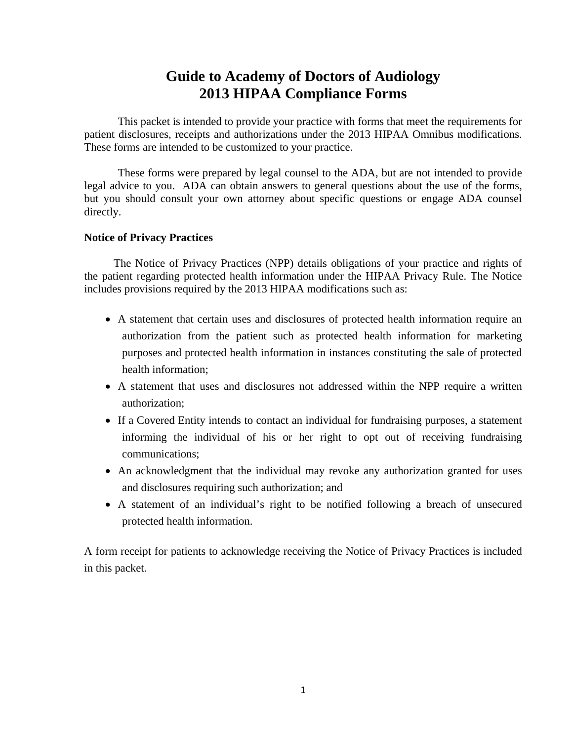# **Guide to Academy of Doctors of Audiology 2013 HIPAA Compliance Forms**

This packet is intended to provide your practice with forms that meet the requirements for patient disclosures, receipts and authorizations under the 2013 HIPAA Omnibus modifications. These forms are intended to be customized to your practice.

These forms were prepared by legal counsel to the ADA, but are not intended to provide legal advice to you. ADA can obtain answers to general questions about the use of the forms, but you should consult your own attorney about specific questions or engage ADA counsel directly.

#### **Notice of Privacy Practices**

The Notice of Privacy Practices (NPP) details obligations of your practice and rights of the patient regarding protected health information under the HIPAA Privacy Rule. The Notice includes provisions required by the 2013 HIPAA modifications such as:

- A statement that certain uses and disclosures of protected health information require an authorization from the patient such as protected health information for marketing purposes and protected health information in instances constituting the sale of protected health information;
- A statement that uses and disclosures not addressed within the NPP require a written authorization;
- If a Covered Entity intends to contact an individual for fundraising purposes, a statement informing the individual of his or her right to opt out of receiving fundraising communications;
- An acknowledgment that the individual may revoke any authorization granted for uses and disclosures requiring such authorization; and
- A statement of an individual's right to be notified following a breach of unsecured protected health information.

A form receipt for patients to acknowledge receiving the Notice of Privacy Practices is included in this packet.